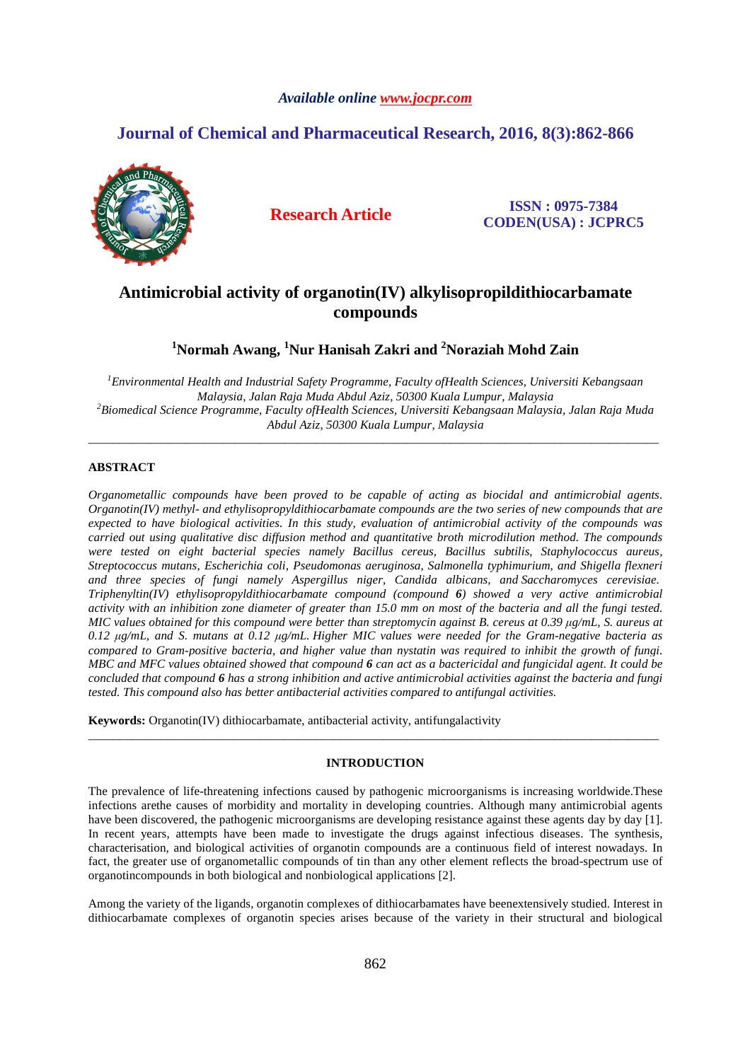# *Available online www.jocpr.com*

# **Journal of Chemical and Pharmaceutical Research, 2016, 8(3):862-866**



**Research Article ISSN : 0975-7384 CODEN(USA) : JCPRC5**

# **Antimicrobial activity of organotin(IV) alkylisopropildithiocarbamate compounds**

**<sup>1</sup>Normah Awang, <sup>1</sup>Nur Hanisah Zakri and <sup>2</sup>Noraziah Mohd Zain**

*<sup>1</sup>Environmental Health and Industrial Safety Programme, Faculty ofHealth Sciences, Universiti Kebangsaan Malaysia, Jalan Raja Muda Abdul Aziz, 50300 Kuala Lumpur, Malaysia <sup>2</sup>Biomedical Science Programme, Faculty ofHealth Sciences, Universiti Kebangsaan Malaysia, Jalan Raja Muda Abdul Aziz, 50300 Kuala Lumpur, Malaysia* 

\_\_\_\_\_\_\_\_\_\_\_\_\_\_\_\_\_\_\_\_\_\_\_\_\_\_\_\_\_\_\_\_\_\_\_\_\_\_\_\_\_\_\_\_\_\_\_\_\_\_\_\_\_\_\_\_\_\_\_\_\_\_\_\_\_\_\_\_\_\_\_\_\_\_\_\_\_\_\_\_\_\_\_\_\_\_\_\_\_\_\_\_\_

# **ABSTRACT**

*Organometallic compounds have been proved to be capable of acting as biocidal and antimicrobial agents. Organotin(IV) methyl- and ethylisopropyldithiocarbamate compounds are the two series of new compounds that are expected to have biological activities. In this study, evaluation of antimicrobial activity of the compounds was carried out using qualitative disc diffusion method and quantitative broth microdilution method. The compounds were tested on eight bacterial species namely Bacillus cereus, Bacillus subtilis, Staphylococcus aureus, Streptococcus mutans, Escherichia coli, Pseudomonas aeruginosa, Salmonella typhimurium, and Shigella flexneri and three species of fungi namely Aspergillus niger, Candida albicans, and Saccharomyces cerevisiae. Triphenyltin(IV) ethylisopropyldithiocarbamate compound (compound 6) showed a very active antimicrobial activity with an inhibition zone diameter of greater than 15.0 mm on most of the bacteria and all the fungi tested. MIC values obtained for this compound were better than streptomycin against B. cereus at 0.39 µg/mL, S. aureus at 0.12 µg/mL, and S. mutans at 0.12 µg/mL. Higher MIC values were needed for the Gram-negative bacteria as compared to Gram-positive bacteria, and higher value than nystatin was required to inhibit the growth of fungi. MBC and MFC values obtained showed that compound 6 can act as a bactericidal and fungicidal agent. It could be concluded that compound 6 has a strong inhibition and active antimicrobial activities against the bacteria and fungi tested. This compound also has better antibacterial activities compared to antifungal activities.* 

**Keywords:** Organotin(IV) dithiocarbamate, antibacterial activity, antifungalactivity

## **INTRODUCTION**

\_\_\_\_\_\_\_\_\_\_\_\_\_\_\_\_\_\_\_\_\_\_\_\_\_\_\_\_\_\_\_\_\_\_\_\_\_\_\_\_\_\_\_\_\_\_\_\_\_\_\_\_\_\_\_\_\_\_\_\_\_\_\_\_\_\_\_\_\_\_\_\_\_\_\_\_\_\_\_\_\_\_\_\_\_\_\_\_\_\_\_\_\_

The prevalence of life-threatening infections caused by pathogenic microorganisms is increasing worldwide.These infections arethe causes of morbidity and mortality in developing countries. Although many antimicrobial agents have been discovered, the pathogenic microorganisms are developing resistance against these agents day by day [1]. In recent years, attempts have been made to investigate the drugs against infectious diseases. The synthesis, characterisation, and biological activities of organotin compounds are a continuous field of interest nowadays. In fact, the greater use of organometallic compounds of tin than any other element reflects the broad-spectrum use of organotincompounds in both biological and nonbiological applications [2].

Among the variety of the ligands, organotin complexes of dithiocarbamates have beenextensively studied. Interest in dithiocarbamate complexes of organotin species arises because of the variety in their structural and biological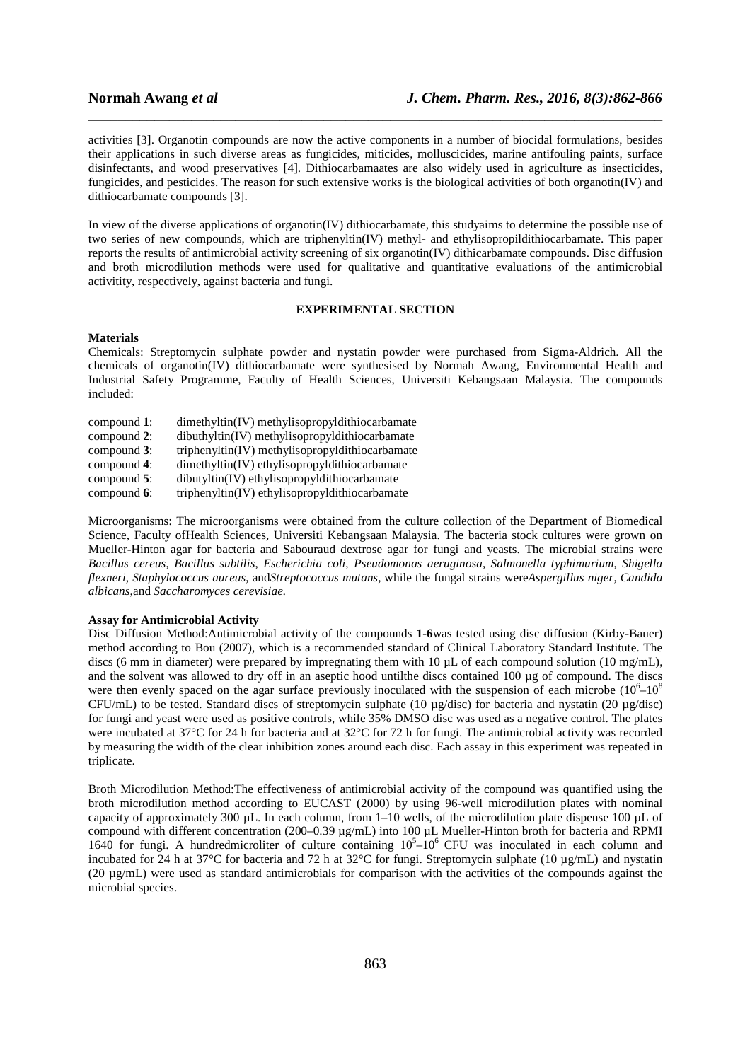activities [3]. Organotin compounds are now the active components in a number of biocidal formulations, besides their applications in such diverse areas as fungicides, miticides, molluscicides, marine antifouling paints, surface disinfectants, and wood preservatives [4]. Dithiocarbamaates are also widely used in agriculture as insecticides, fungicides, and pesticides. The reason for such extensive works is the biological activities of both organotin(IV) and dithiocarbamate compounds [3].

\_\_\_\_\_\_\_\_\_\_\_\_\_\_\_\_\_\_\_\_\_\_\_\_\_\_\_\_\_\_\_\_\_\_\_\_\_\_\_\_\_\_\_\_\_\_\_\_\_\_\_\_\_\_\_\_\_\_\_\_\_\_\_\_\_\_\_\_\_\_\_\_\_\_\_\_\_\_

In view of the diverse applications of organotin(IV) dithiocarbamate, this studyaims to determine the possible use of two series of new compounds, which are triphenyltin(IV) methyl- and ethylisopropildithiocarbamate. This paper reports the results of antimicrobial activity screening of six organotin(IV) dithicarbamate compounds. Disc diffusion and broth microdilution methods were used for qualitative and quantitative evaluations of the antimicrobial activitity, respectively, against bacteria and fungi.

# **EXPERIMENTAL SECTION**

### **Materials**

Chemicals: Streptomycin sulphate powder and nystatin powder were purchased from Sigma-Aldrich. All the chemicals of organotin(IV) dithiocarbamate were synthesised by Normah Awang, Environmental Health and Industrial Safety Programme, Faculty of Health Sciences, Universiti Kebangsaan Malaysia. The compounds included:

- compound **1**: dimethyltin(IV) methylisopropyldithiocarbamate<br>compound **2**: dibuthyltin(IV) methylisopropyldithiocarbamate
- dibuthyltin(IV) methylisopropyldithiocarbamate
- compound **3**: triphenyltin(IV) methylisopropyldithiocarbamate
- compound **4**: dimethyltin(IV) ethylisopropyldithiocarbamate
- compound **5**: dibutyltin(IV) ethylisopropyldithiocarbamate
- compound 6: triphenyltin(IV) ethylisopropyldithiocarbamate

Microorganisms: The microorganisms were obtained from the culture collection of the Department of Biomedical Science, Faculty ofHealth Sciences, Universiti Kebangsaan Malaysia. The bacteria stock cultures were grown on Mueller-Hinton agar for bacteria and Sabouraud dextrose agar for fungi and yeasts. The microbial strains were *Bacillus cereus*, *Bacillus subtilis*, *Escherichia coli*, *Pseudomonas aeruginosa*, *Salmonella typhimurium*, *Shigella flexneri*, *Staphylococcus aureus*, and*Streptococcus mutans*, while the fungal strains were*Aspergillus niger*, *Candida albicans*,and *Saccharomyces cerevisiae.*

## **Assay for Antimicrobial Activity**

Disc Diffusion Method:Antimicrobial activity of the compounds **1**-**6**was tested using disc diffusion (Kirby-Bauer) method according to Bou (2007), which is a recommended standard of Clinical Laboratory Standard Institute. The discs (6 mm in diameter) were prepared by impregnating them with 10  $\mu$ L of each compound solution (10 mg/mL), and the solvent was allowed to dry off in an aseptic hood untilthe discs contained 100 µg of compound. The discs were then evenly spaced on the agar surface previously inoculated with the suspension of each microbe  $(10^6 - 10^8)$ CFU/mL) to be tested. Standard discs of streptomycin sulphate (10  $\mu$ g/disc) for bacteria and nystatin (20  $\mu$ g/disc) for fungi and yeast were used as positive controls, while 35% DMSO disc was used as a negative control. The plates were incubated at 37°C for 24 h for bacteria and at 32°C for 72 h for fungi. The antimicrobial activity was recorded by measuring the width of the clear inhibition zones around each disc. Each assay in this experiment was repeated in triplicate.

Broth Microdilution Method:The effectiveness of antimicrobial activity of the compound was quantified using the broth microdilution method according to EUCAST (2000) by using 96-well microdilution plates with nominal capacity of approximately 300  $\mu$ L. In each column, from 1–10 wells, of the microdilution plate dispense 100  $\mu$ L of compound with different concentration (200–0.39 µg/mL) into 100 µL Mueller-Hinton broth for bacteria and RPMI 1640 for fungi. A hundredmicroliter of culture containing  $10^5$ - $10^6$  CFU was inoculated in each column and incubated for 24 h at 37°C for bacteria and 72 h at 32°C for fungi. Streptomycin sulphate (10  $\mu$ g/mL) and nystatin (20 µg/mL) were used as standard antimicrobials for comparison with the activities of the compounds against the microbial species.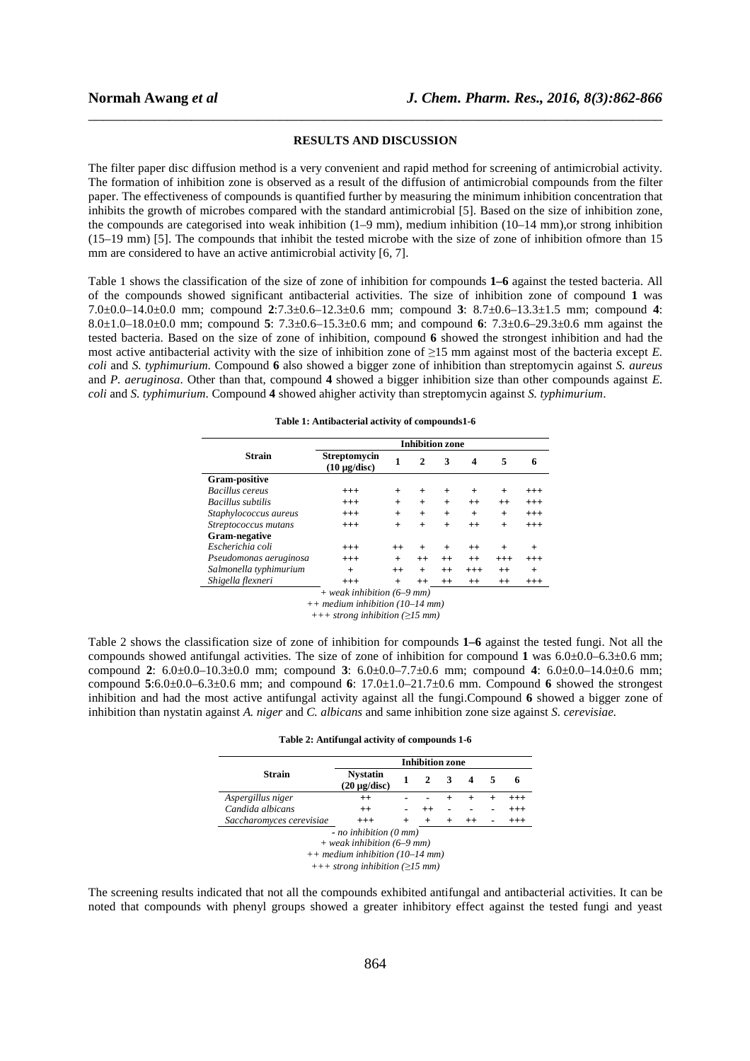### **RESULTS AND DISCUSSION**

\_\_\_\_\_\_\_\_\_\_\_\_\_\_\_\_\_\_\_\_\_\_\_\_\_\_\_\_\_\_\_\_\_\_\_\_\_\_\_\_\_\_\_\_\_\_\_\_\_\_\_\_\_\_\_\_\_\_\_\_\_\_\_\_\_\_\_\_\_\_\_\_\_\_\_\_\_\_

The filter paper disc diffusion method is a very convenient and rapid method for screening of antimicrobial activity. The formation of inhibition zone is observed as a result of the diffusion of antimicrobial compounds from the filter paper. The effectiveness of compounds is quantified further by measuring the minimum inhibition concentration that inhibits the growth of microbes compared with the standard antimicrobial [5]. Based on the size of inhibition zone, the compounds are categorised into weak inhibition (1–9 mm), medium inhibition (10–14 mm),or strong inhibition (15–19 mm) [5]. The compounds that inhibit the tested microbe with the size of zone of inhibition ofmore than 15 mm are considered to have an active antimicrobial activity [6, 7].

Table 1 shows the classification of the size of zone of inhibition for compounds **1–6** against the tested bacteria. All of the compounds showed significant antibacterial activities. The size of inhibition zone of compound **1** was 7.0±0.0–14.0±0.0 mm; compound **2**:7.3±0.6–12.3±0.6 mm; compound **3**: 8.7±0.6–13.3±1.5 mm; compound **4**: 8.0±1.0–18.0±0.0 mm; compound **5**: 7.3±0.6–15.3±0.6 mm; and compound **6**: 7.3±0.6–29.3±0.6 mm against the tested bacteria. Based on the size of zone of inhibition, compound **6** showed the strongest inhibition and had the most active antibacterial activity with the size of inhibition zone of ≥15 mm against most of the bacteria except *E. coli* and *S. typhimurium*. Compound **6** also showed a bigger zone of inhibition than streptomycin against *S. aureus* and *P. aeruginosa*. Other than that, compound **4** showed a bigger inhibition size than other compounds against *E. coli* and *S. typhimurium*. Compound **4** showed ahigher activity than streptomycin against *S. typhimurium*.

|                        | <b>Inhibition zone</b>                   |         |              |         |          |          |          |
|------------------------|------------------------------------------|---------|--------------|---------|----------|----------|----------|
| <b>Strain</b>          | <b>Streptomycin</b><br>$(10 \mu g/disc)$ | 1       | $\mathbf{2}$ | 3       | 4        | 5        | 6        |
| Gram-positive          |                                          |         |              |         |          |          |          |
| <b>Bacillus</b> cereus | $^{+++}$                                 | $^{+}$  | $^{+}$       | $+$     | $^{+}$   | $^{+}$   | $^{+++}$ |
| Bacillus subtilis      | $^{+++}$                                 | $+$     | $+$          | $+$     | $++$     | $++$     | $+++$    |
| Staphylococcus aureus  | $^{+++}$                                 | $+$     | $+$          | $+$     | $+$      | $^{+}$   | $^{+++}$ |
| Streptococcus mutans   | $^{+++}$                                 | $+$     | $+$          | $+$     | $^{++}$  | $+$      | $^{+++}$ |
| Gram-negative          |                                          |         |              |         |          |          |          |
| Escherichia coli       | $^{+++}$                                 | $^{++}$ |              | $^{+}$  | $^{++}$  | $^{+}$   | $^{+}$   |
| Pseudomonas aeruginosa | $^{+++}$                                 | $+$     | $^{++}$      | $^{++}$ | $^{++}$  | $^{+++}$ | $^{+++}$ |
| Salmonella typhimurium | $+$                                      | $^{++}$ | $+$          | $++$    | $^{+++}$ | $^{++}$  | $^{+}$   |
| Shigella flexneri      | $^{+++}$                                 | $+$     | $^{++}$      | $^{++}$ | $++$     | $^{++}$  | $+++$    |

*+ weak inhibition (6–9 mm)* 

*++ medium inhibition (10–14 mm)* 

*+++ strong inhibition (≥15 mm)* 

Table 2 shows the classification size of zone of inhibition for compounds **1–6** against the tested fungi. Not all the compounds showed antifungal activities. The size of zone of inhibition for compound **1** was 6.0±0.0–6.3±0.6 mm; compound **2**: 6.0±0.0–10.3±0.0 mm; compound **3**: 6.0±0.0–7.7±0.6 mm; compound **4**: 6.0±0.0–14.0±0.6 mm; compound **5**:6.0±0.0–6.3±0.6 mm; and compound **6**: 17.0±1.0–21.7±0.6 mm. Compound **6** showed the strongest inhibition and had the most active antifungal activity against all the fungi.Compound **6** showed a bigger zone of inhibition than nystatin against *A. niger* and *C. albicans* and same inhibition zone size against *S. cerevisiae.* 

|  |  |  | Table 2: Antifungal activity of compounds 1-6 |  |
|--|--|--|-----------------------------------------------|--|
|--|--|--|-----------------------------------------------|--|

|                          | <b>Inhibition zone</b>                                                                                                                   |        |         |   |  |   |          |  |
|--------------------------|------------------------------------------------------------------------------------------------------------------------------------------|--------|---------|---|--|---|----------|--|
| <b>Strain</b>            | <b>Nystatin</b><br>$(20 \mu g/disc)$                                                                                                     | 1      |         | 3 |  | 5 | 6        |  |
| Aspergillus niger        | $^{++}$                                                                                                                                  |        |         |   |  |   | $^{+++}$ |  |
| Candida albicans         | $^{++}$                                                                                                                                  |        | $^{++}$ |   |  |   | $^{+++}$ |  |
| Saccharomyces cerevisiae | $^{+++}$                                                                                                                                 | $^{+}$ | $\pm$   |   |  |   | $^{+++}$ |  |
|                          | $-$ no inhibition (0 mm)<br>$+$ weak inhibition (6–9 mm)<br>$++ medium inhibition (10–14 mm)$<br>$+++$ strong inhibition ( $\geq$ 15 mm) |        |         |   |  |   |          |  |

The screening results indicated that not all the compounds exhibited antifungal and antibacterial activities. It can be noted that compounds with phenyl groups showed a greater inhibitory effect against the tested fungi and yeast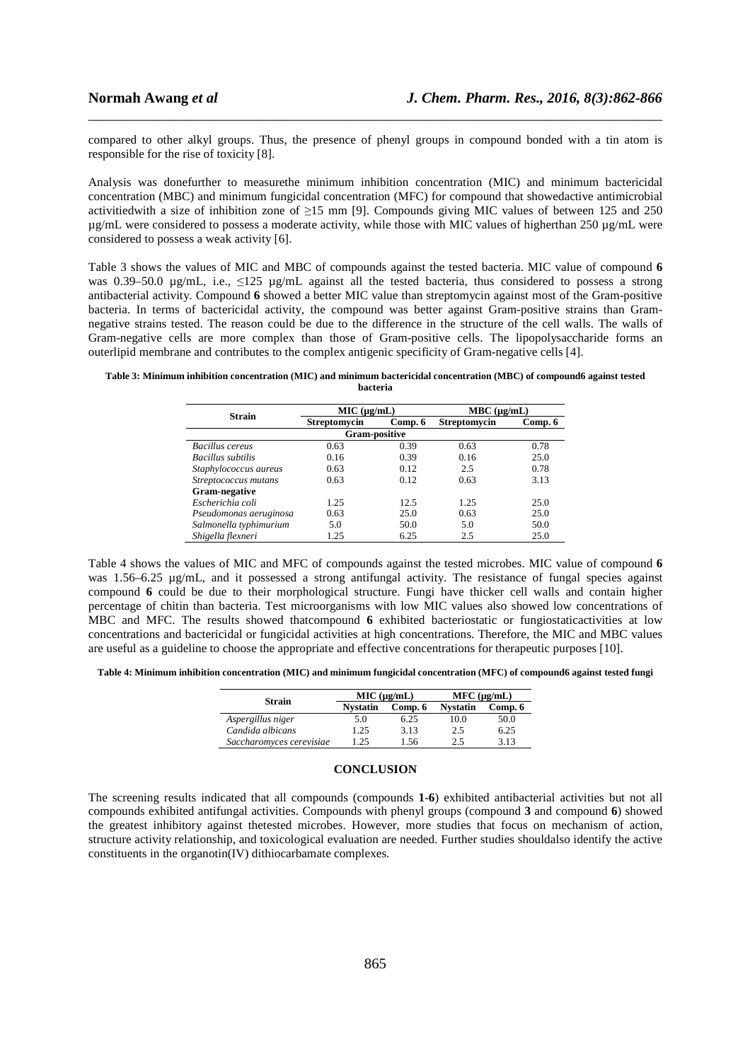compared to other alkyl groups. Thus, the presence of phenyl groups in compound bonded with a tin atom is responsible for the rise of toxicity [8].

\_\_\_\_\_\_\_\_\_\_\_\_\_\_\_\_\_\_\_\_\_\_\_\_\_\_\_\_\_\_\_\_\_\_\_\_\_\_\_\_\_\_\_\_\_\_\_\_\_\_\_\_\_\_\_\_\_\_\_\_\_\_\_\_\_\_\_\_\_\_\_\_\_\_\_\_\_\_

Analysis was donefurther to measurethe minimum inhibition concentration (MIC) and minimum bactericidal concentration (MBC) and minimum fungicidal concentration (MFC) for compound that showedactive antimicrobial activitiedwith a size of inhibition zone of ≥15 mm [9]. Compounds giving MIC values of between 125 and 250 µg/mL were considered to possess a moderate activity, while those with MIC values of higherthan 250 µg/mL were considered to possess a weak activity [6].

Table 3 shows the values of MIC and MBC of compounds against the tested bacteria. MIC value of compound **6** was 0.39–50.0  $\mu$ g/mL, i.e.,  $\leq 125 \mu$ g/mL against all the tested bacteria, thus considered to possess a strong antibacterial activity. Compound **6** showed a better MIC value than streptomycin against most of the Gram-positive bacteria. In terms of bactericidal activity, the compound was better against Gram-positive strains than Gramnegative strains tested. The reason could be due to the difference in the structure of the cell walls. The walls of Gram-negative cells are more complex than those of Gram-positive cells. The lipopolysaccharide forms an outerlipid membrane and contributes to the complex antigenic specificity of Gram-negative cells [4].

**Table 3: Minimum inhibition concentration (MIC) and minimum bactericidal concentration (MBC) of compound6 against tested bacteria** 

| <b>Strain</b>          | MIC (µg/mL)         |         | $MBC (\mu g/mL)$    |         |  |  |  |  |  |
|------------------------|---------------------|---------|---------------------|---------|--|--|--|--|--|
|                        | <b>Streptomycin</b> | Comp. 6 | <b>Streptomycin</b> | Comp. 6 |  |  |  |  |  |
| <b>Gram-positive</b>   |                     |         |                     |         |  |  |  |  |  |
| Bacillus cereus        | 0.63                | 0.39    | 0.63                | 0.78    |  |  |  |  |  |
| Bacillus subtilis      | 0.16                | 0.39    | 0.16                | 25.0    |  |  |  |  |  |
| Staphylococcus aureus  | 0.63                | 0.12    | 2.5                 | 0.78    |  |  |  |  |  |
| Streptococcus mutans   | 0.63                | 0.12    | 0.63                | 3.13    |  |  |  |  |  |
| Gram-negative          |                     |         |                     |         |  |  |  |  |  |
| Escherichia coli       | 1.25                | 12.5    | 1.25                | 25.0    |  |  |  |  |  |
| Pseudomonas aeruginosa | 0.63                | 25.0    | 0.63                | 25.0    |  |  |  |  |  |
| Salmonella typhimurium | 5.0                 | 50.0    | 5.0                 | 50.0    |  |  |  |  |  |
| Shigella flexneri      | 1.25                | 6.25    | 2.5                 | 25.0    |  |  |  |  |  |

Table 4 shows the values of MIC and MFC of compounds against the tested microbes. MIC value of compound **6** was 1.56–6.25 µg/mL, and it possessed a strong antifungal activity. The resistance of fungal species against compound **6** could be due to their morphological structure. Fungi have thicker cell walls and contain higher percentage of chitin than bacteria. Test microorganisms with low MIC values also showed low concentrations of MBC and MFC. The results showed thatcompound **6** exhibited bacteriostatic or fungiostaticactivities at low concentrations and bactericidal or fungicidal activities at high concentrations. Therefore, the MIC and MBC values are useful as a guideline to choose the appropriate and effective concentrations for therapeutic purposes [10].

**Table 4: Minimum inhibition concentration (MIC) and minimum fungicidal concentration (MFC) of compound6 against tested fungi** 

| <b>Strain</b>            |                 | MIC (µg/mL) | MFC (µg/mL)     |         |  |  |
|--------------------------|-----------------|-------------|-----------------|---------|--|--|
|                          | <b>Nystatin</b> | Comp. 6     | <b>Nystatin</b> | Comp. 6 |  |  |
| Aspergillus niger        | 5.0             | 6.25        | 10.0            | 50.0    |  |  |
| Candida albicans         | 1.25            | 3.13        | 2.5             | 6.25    |  |  |
| Saccharomyces cerevisiae | .25             | .56         | 2.5             | 3.13    |  |  |

#### **CONCLUSION**

The screening results indicated that all compounds (compounds **1**-**6**) exhibited antibacterial activities but not all compounds exhibited antifungal activities. Compounds with phenyl groups (compound **3** and compound **6**) showed the greatest inhibitory against thetested microbes. However, more studies that focus on mechanism of action, structure activity relationship, and toxicological evaluation are needed. Further studies shouldalso identify the active constituents in the organotin(IV) dithiocarbamate complexes.